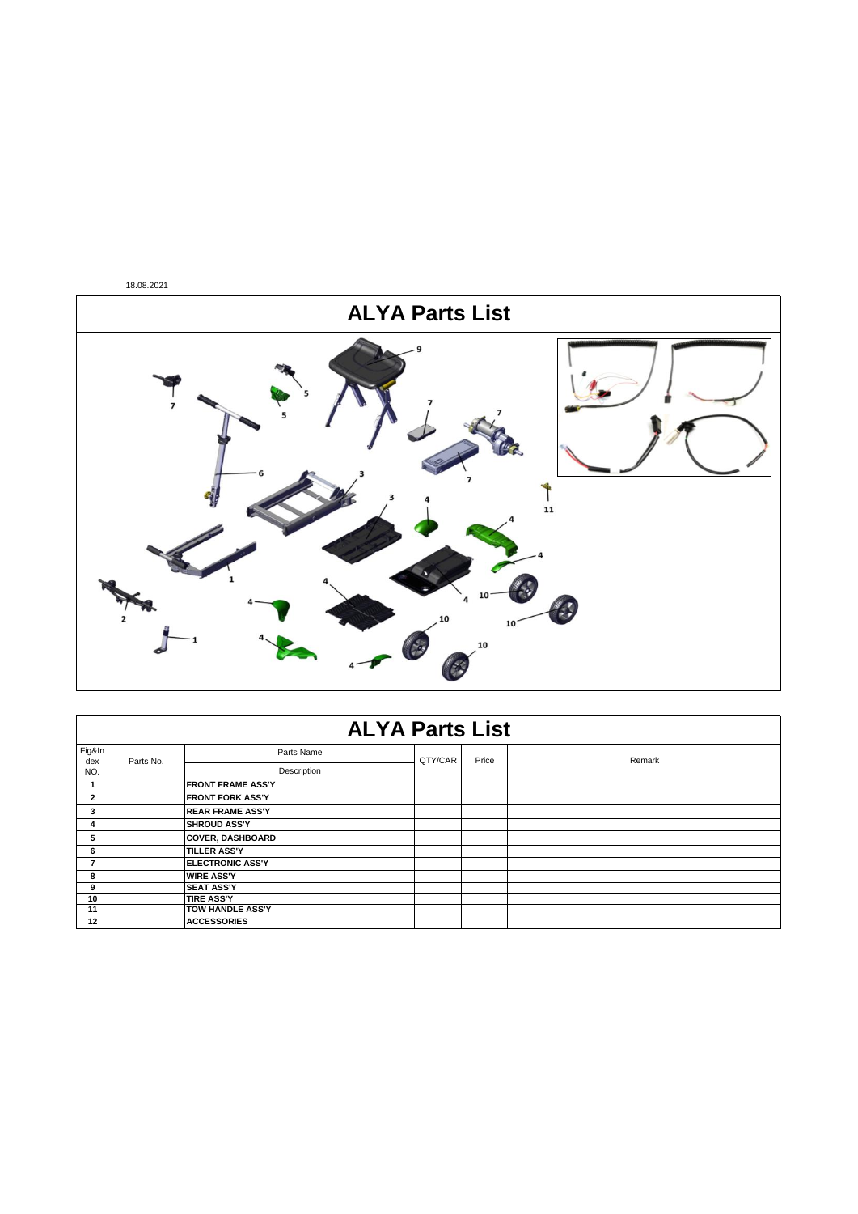

|               | <b>ALYA Parts List</b> |                          |         |       |        |  |  |  |
|---------------|------------------------|--------------------------|---------|-------|--------|--|--|--|
| Fig&In<br>dex | Parts No.              | Parts Name               | QTY/CAR | Price | Remark |  |  |  |
| NO.           |                        | Description              |         |       |        |  |  |  |
|               |                        | <b>FRONT FRAME ASS'Y</b> |         |       |        |  |  |  |
| $\mathbf{2}$  |                        | <b>FRONT FORK ASS'Y</b>  |         |       |        |  |  |  |
| 3             |                        | <b>REAR FRAME ASS'Y</b>  |         |       |        |  |  |  |
| 4             |                        | <b>SHROUD ASS'Y</b>      |         |       |        |  |  |  |
| 5             |                        | <b>COVER, DASHBOARD</b>  |         |       |        |  |  |  |
| 6             |                        | <b>TILLER ASS'Y</b>      |         |       |        |  |  |  |
| 7             |                        | <b>ELECTRONIC ASS'Y</b>  |         |       |        |  |  |  |
| 8             |                        | <b>WIRE ASS'Y</b>        |         |       |        |  |  |  |
| 9             |                        | <b>SEAT ASS'Y</b>        |         |       |        |  |  |  |
| 10            |                        | <b>TIRE ASS'Y</b>        |         |       |        |  |  |  |
| 11            |                        | TOW HANDLE ASS'Y         |         |       |        |  |  |  |
| 12            |                        | <b>ACCESSORIES</b>       |         |       |        |  |  |  |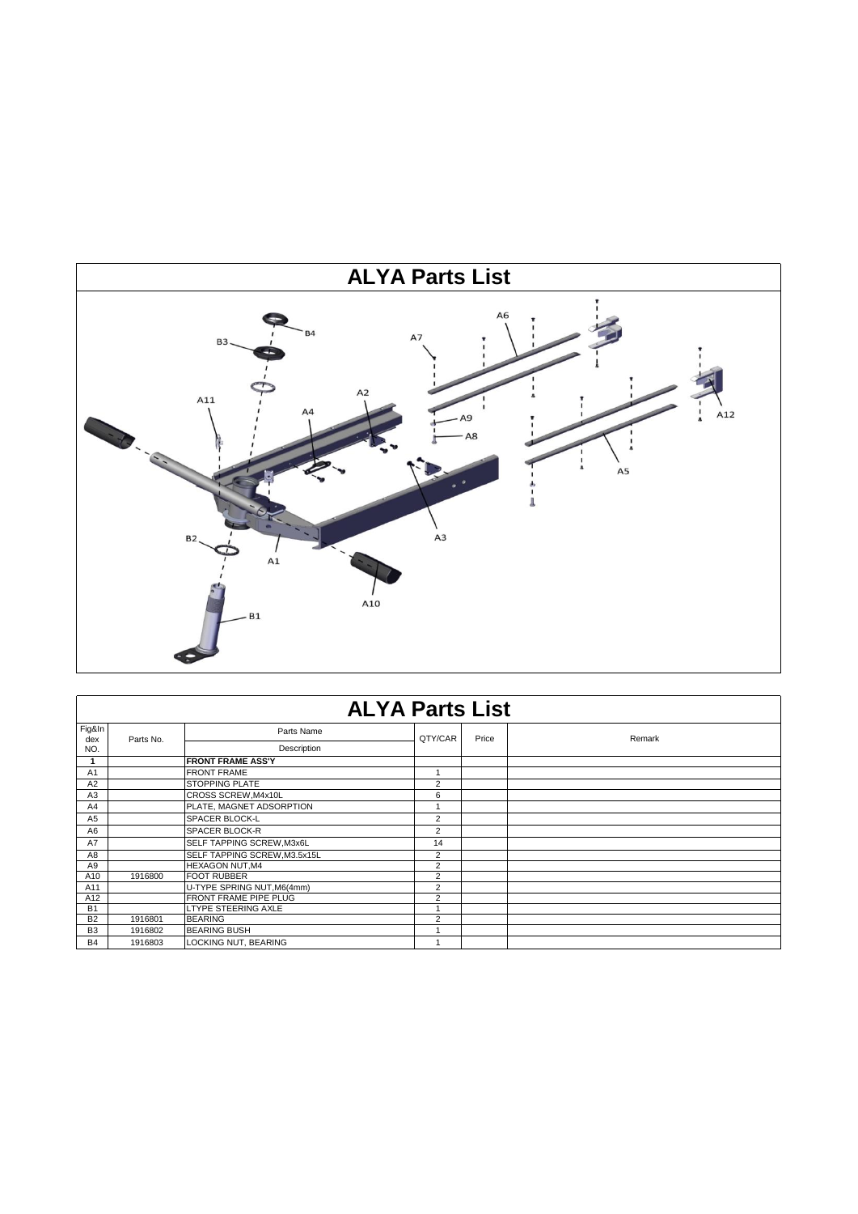

|                | <b>ALYA Parts List</b> |                              |                |       |        |  |  |
|----------------|------------------------|------------------------------|----------------|-------|--------|--|--|
| Fig&In<br>dex  | Parts No.              | Parts Name                   | QTY/CAR        | Price | Remark |  |  |
| NO.            |                        | Description                  |                |       |        |  |  |
|                |                        | <b>FRONT FRAME ASS'Y</b>     |                |       |        |  |  |
| A <sub>1</sub> |                        | <b>FRONT FRAME</b>           |                |       |        |  |  |
| A2             |                        | <b>STOPPING PLATE</b>        | $\overline{2}$ |       |        |  |  |
| A3             |                        | CROSS SCREW, M4x10L          | 6              |       |        |  |  |
| A4             |                        | PLATE, MAGNET ADSORPTION     |                |       |        |  |  |
| A <sub>5</sub> |                        | <b>SPACER BLOCK-L</b>        | $\overline{2}$ |       |        |  |  |
| A <sub>6</sub> |                        | SPACER BLOCK-R               | $\overline{2}$ |       |        |  |  |
| A7             |                        | SELF TAPPING SCREW, M3x6L    | 14             |       |        |  |  |
| A <sub>8</sub> |                        | SELF TAPPING SCREW, M3.5x15L | $\overline{2}$ |       |        |  |  |
| A9             |                        | <b>HEXAGON NUT.M4</b>        | 2              |       |        |  |  |
| A10            | 1916800                | <b>FOOT RUBBER</b>           | $\overline{2}$ |       |        |  |  |
| A11            |                        | U-TYPE SPRING NUT, M6(4mm)   | $\overline{2}$ |       |        |  |  |
| A12            |                        | FRONT FRAME PIPE PLUG        | $\overline{2}$ |       |        |  |  |
| <b>B1</b>      |                        | LTYPE STEERING AXLE          |                |       |        |  |  |
| <b>B2</b>      | 1916801                | <b>BEARING</b>               | 2              |       |        |  |  |
| B <sub>3</sub> | 1916802                | <b>BEARING BUSH</b>          |                |       |        |  |  |
| <b>B4</b>      | 1916803                | LOCKING NUT, BEARING         |                |       |        |  |  |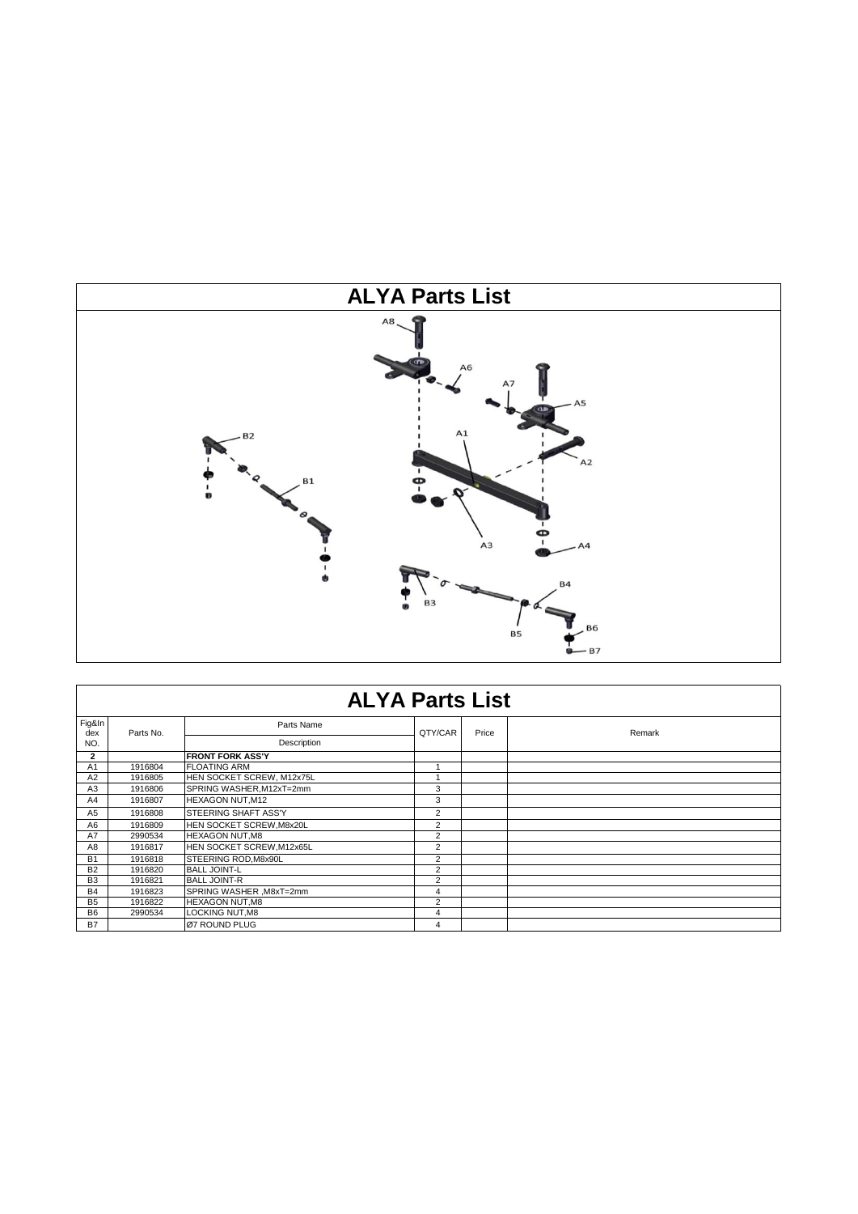

|                | <b>ALYA Parts List</b> |                             |                |       |        |  |  |  |  |
|----------------|------------------------|-----------------------------|----------------|-------|--------|--|--|--|--|
| Fig&In         |                        | Parts Name                  |                |       |        |  |  |  |  |
| dex<br>NO.     | Parts No.              | Description                 | QTY/CAR        | Price | Remark |  |  |  |  |
| $\mathbf{2}$   |                        | <b>FRONT FORK ASS'Y</b>     |                |       |        |  |  |  |  |
| A1             | 1916804                | <b>FLOATING ARM</b>         | и              |       |        |  |  |  |  |
| A <sub>2</sub> | 1916805                | HEN SOCKET SCREW, M12x75L   |                |       |        |  |  |  |  |
| A <sub>3</sub> | 1916806                | SPRING WASHER, M12xT=2mm    | 3              |       |        |  |  |  |  |
| A4             | 1916807                | HEXAGON NUT, M12            | 3              |       |        |  |  |  |  |
| A <sub>5</sub> | 1916808                | <b>STEERING SHAFT ASS'Y</b> | 2              |       |        |  |  |  |  |
| A6             | 1916809                | HEN SOCKET SCREW, M8x20L    | 2              |       |        |  |  |  |  |
| A7             | 2990534                | <b>HEXAGON NUT, M8</b>      | $\overline{2}$ |       |        |  |  |  |  |
| A8             | 1916817                | HEN SOCKET SCREW, M12x65L   | $\overline{2}$ |       |        |  |  |  |  |
| <b>B1</b>      | 1916818                | <b>STEERING ROD.M8x90L</b>  | $\overline{2}$ |       |        |  |  |  |  |
| <b>B2</b>      | 1916820                | <b>BALL JOINT-L</b>         | $\overline{2}$ |       |        |  |  |  |  |
| B <sub>3</sub> | 1916821                | <b>BALL JOINT-R</b>         | $\overline{2}$ |       |        |  |  |  |  |
| <b>B4</b>      | 1916823                | SPRING WASHER, M8xT=2mm     | 4              |       |        |  |  |  |  |
| <b>B5</b>      | 1916822                | <b>HEXAGON NUT, M8</b>      | $\overline{2}$ |       |        |  |  |  |  |
| <b>B6</b>      | 2990534                | <b>LOCKING NUT, M8</b>      | 4              |       |        |  |  |  |  |
| <b>B7</b>      |                        | Ø7 ROUND PLUG               | 4              |       |        |  |  |  |  |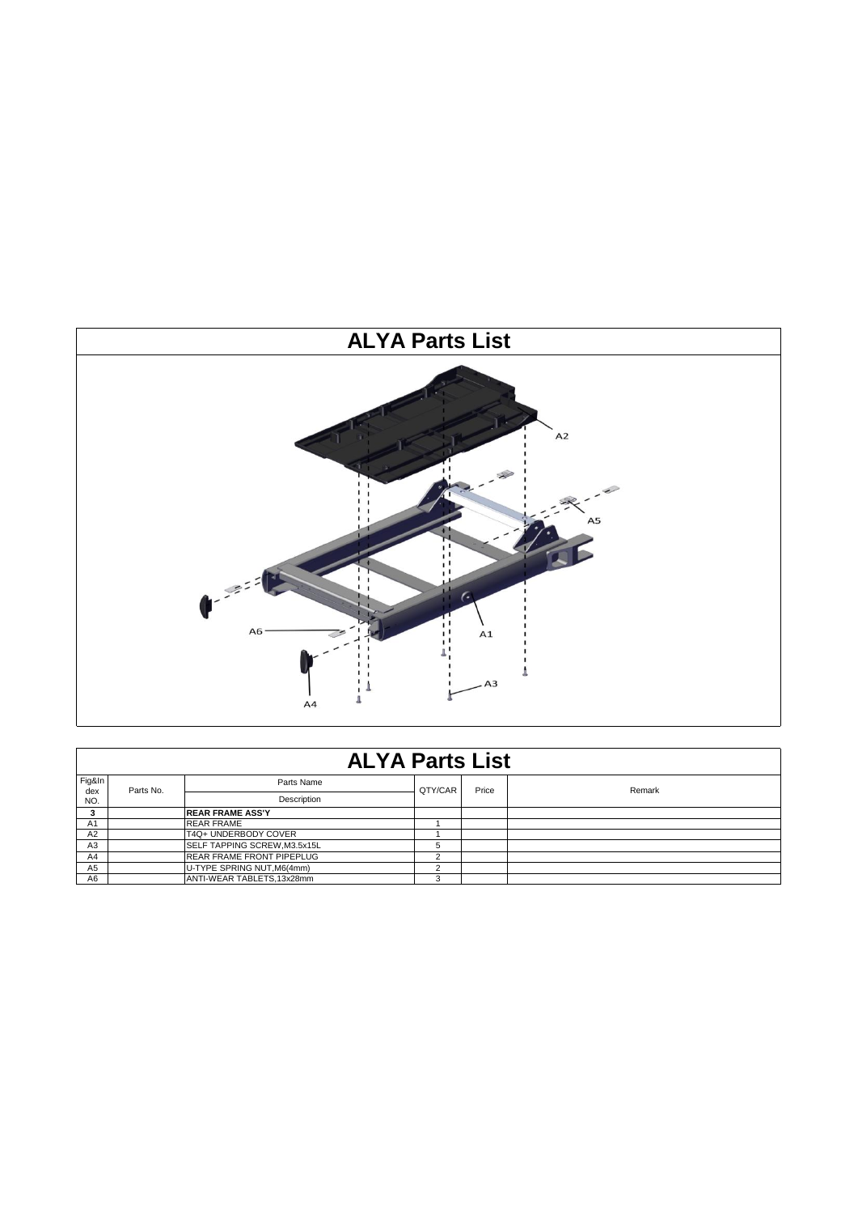

|                | <b>ALYA Parts List</b> |                                  |            |       |        |  |  |  |  |
|----------------|------------------------|----------------------------------|------------|-------|--------|--|--|--|--|
| Fig&In<br>dex  | Parts No.              | Parts Name                       | QTY/CAR    | Price | Remark |  |  |  |  |
| NO.            |                        | <b>Description</b>               |            |       |        |  |  |  |  |
|                |                        | <b>REAR FRAME ASS'Y</b>          |            |       |        |  |  |  |  |
| A <sub>1</sub> |                        | <b>REAR FRAME</b>                |            |       |        |  |  |  |  |
| A2             |                        | T4Q+ UNDERBODY COVER             |            |       |        |  |  |  |  |
| A <sub>3</sub> |                        | SELF TAPPING SCREW, M3.5x15L     | 5          |       |        |  |  |  |  |
| A4             |                        | <b>REAR FRAME FRONT PIPEPLUG</b> | $\sqrt{2}$ |       |        |  |  |  |  |
| A <sub>5</sub> |                        | U-TYPE SPRING NUT, M6(4mm)       | $\sqrt{2}$ |       |        |  |  |  |  |
| A6             |                        | ANTI-WEAR TABLETS, 13x28mm       | 3          |       |        |  |  |  |  |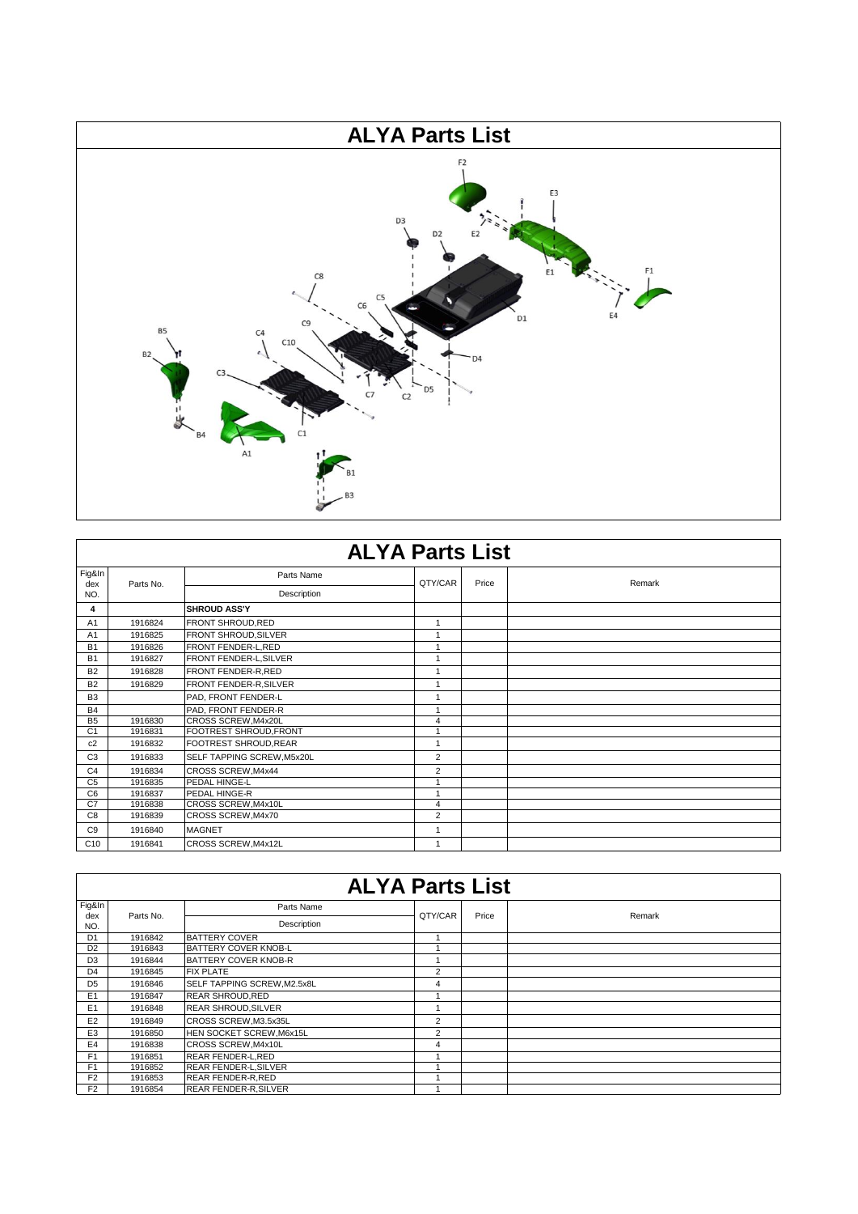

|                 | <b>ALYA Parts List</b> |                            |                         |       |        |  |  |  |  |
|-----------------|------------------------|----------------------------|-------------------------|-------|--------|--|--|--|--|
| Fig&In          |                        | Parts Name                 | QTY/CAR                 | Price | Remark |  |  |  |  |
| dex<br>NO.      | Parts No.              | Description                |                         |       |        |  |  |  |  |
| 4               |                        | <b>SHROUD ASS'Y</b>        |                         |       |        |  |  |  |  |
| A <sub>1</sub>  | 1916824                | FRONT SHROUD, RED          | 1                       |       |        |  |  |  |  |
| A <sub>1</sub>  | 1916825                | FRONT SHROUD, SILVER       |                         |       |        |  |  |  |  |
| <b>B1</b>       | 1916826                | FRONT FENDER-L, RED        | $\overline{ }$          |       |        |  |  |  |  |
| <b>B1</b>       | 1916827                | FRONT FENDER-L, SILVER     | $\mathbf{1}$            |       |        |  |  |  |  |
| <b>B2</b>       | 1916828                | FRONT FENDER-R, RED        | $\mathbf{1}$            |       |        |  |  |  |  |
| <b>B2</b>       | 1916829                | FRONT FENDER-R, SILVER     | $\mathbf{1}$            |       |        |  |  |  |  |
| B <sub>3</sub>  |                        | PAD, FRONT FENDER-L        | $\mathbf{1}$            |       |        |  |  |  |  |
| <b>B4</b>       |                        | PAD, FRONT FENDER-R        | $\mathbf{1}$            |       |        |  |  |  |  |
| B <sub>5</sub>  | 1916830                | CROSS SCREW, M4x20L        | $\overline{\mathbf{4}}$ |       |        |  |  |  |  |
| C <sub>1</sub>  | 1916831                | FOOTREST SHROUD, FRONT     | $\overline{1}$          |       |        |  |  |  |  |
| c2              | 1916832                | FOOTREST SHROUD, REAR      | $\mathbf{1}$            |       |        |  |  |  |  |
| C <sub>3</sub>  | 1916833                | SELF TAPPING SCREW, M5x20L | 2                       |       |        |  |  |  |  |
| C <sub>4</sub>  | 1916834                | CROSS SCREW, M4x44         | $\overline{2}$          |       |        |  |  |  |  |
| C <sub>5</sub>  | 1916835                | PEDAL HINGE-L              | 1                       |       |        |  |  |  |  |
| C <sub>6</sub>  | 1916837                | PEDAL HINGE-R              | $\overline{1}$          |       |        |  |  |  |  |
| C7              | 1916838                | CROSS SCREW, M4x10L        | 4                       |       |        |  |  |  |  |
| C <sub>8</sub>  | 1916839                | CROSS SCREW, M4x70         | $\overline{2}$          |       |        |  |  |  |  |
| C9              | 1916840                | <b>MAGNET</b>              | $\mathbf{1}$            |       |        |  |  |  |  |
| C <sub>10</sub> | 1916841                | CROSS SCREW, M4x12L        | 1                       |       |        |  |  |  |  |

|                | <b>ALYA Parts List</b> |                              |                |       |        |  |  |  |  |
|----------------|------------------------|------------------------------|----------------|-------|--------|--|--|--|--|
| Fig&In         |                        | Parts Name                   |                |       |        |  |  |  |  |
| dex<br>NO.     | Parts No.              | Description                  | QTY/CAR        | Price | Remark |  |  |  |  |
| D <sub>1</sub> | 1916842                | <b>BATTERY COVER</b>         |                |       |        |  |  |  |  |
| D <sub>2</sub> | 1916843                | <b>BATTERY COVER KNOB-L</b>  |                |       |        |  |  |  |  |
| D <sub>3</sub> | 1916844                | <b>BATTERY COVER KNOB-R</b>  |                |       |        |  |  |  |  |
| D <sub>4</sub> | 1916845                | <b>FIX PLATE</b>             | $\overline{2}$ |       |        |  |  |  |  |
| D <sub>5</sub> | 1916846                | SELF TAPPING SCREW, M2.5x8L  | 4              |       |        |  |  |  |  |
| E1             | 1916847                | <b>REAR SHROUD, RED</b>      | $\overline{A}$ |       |        |  |  |  |  |
| E1             | 1916848                | <b>REAR SHROUD.SILVER</b>    |                |       |        |  |  |  |  |
| E <sub>2</sub> | 1916849                | CROSS SCREW, M3.5x35L        | $\overline{2}$ |       |        |  |  |  |  |
| E <sub>3</sub> | 1916850                | HEN SOCKET SCREW, M6x15L     | $\overline{2}$ |       |        |  |  |  |  |
| E <sub>4</sub> | 1916838                | CROSS SCREW, M4x10L          | 4              |       |        |  |  |  |  |
| F <sub>1</sub> | 1916851                | <b>REAR FENDER-L.RED</b>     |                |       |        |  |  |  |  |
| F <sub>1</sub> | 1916852                | <b>REAR FENDER-L, SILVER</b> |                |       |        |  |  |  |  |
| F <sub>2</sub> | 1916853                | REAR FENDER-R, RED           |                |       |        |  |  |  |  |
| F <sub>2</sub> | 1916854                | <b>REAR FENDER-R, SILVER</b> |                |       |        |  |  |  |  |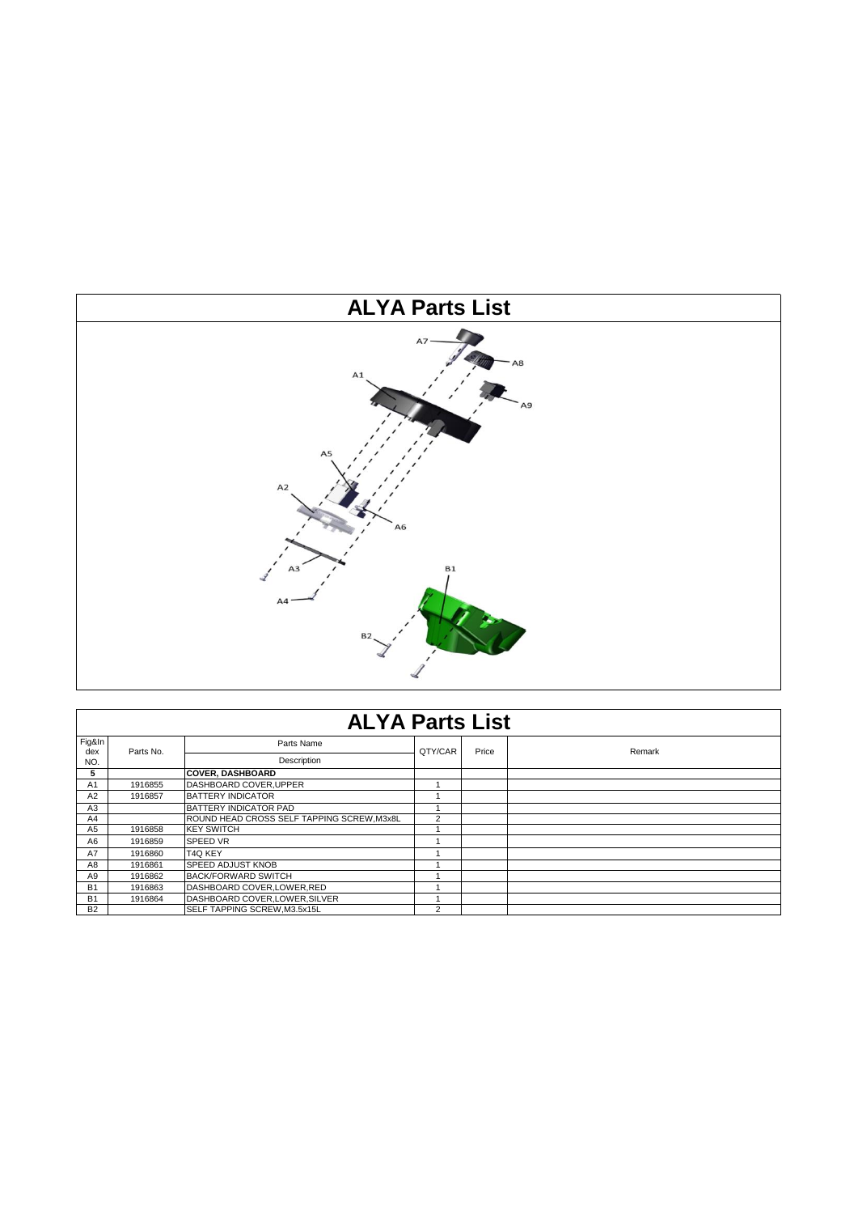

|                | <b>ALYA Parts List</b> |                                           |                |       |        |  |  |  |
|----------------|------------------------|-------------------------------------------|----------------|-------|--------|--|--|--|
| Fig&In<br>dex  |                        | Parts Name                                | QTY/CAR        | Price | Remark |  |  |  |
| NO.            | Parts No.              | Description                               |                |       |        |  |  |  |
| 5              |                        | <b>COVER, DASHBOARD</b>                   |                |       |        |  |  |  |
| A <sub>1</sub> | 1916855                | DASHBOARD COVER.UPPER                     |                |       |        |  |  |  |
| A2             | 1916857                | <b>BATTERY INDICATOR</b>                  |                |       |        |  |  |  |
| A <sub>3</sub> |                        | <b>BATTERY INDICATOR PAD</b>              |                |       |        |  |  |  |
| A4             |                        | ROUND HEAD CROSS SELF TAPPING SCREW.M3x8L | $\overline{2}$ |       |        |  |  |  |
| A5             | 1916858                | <b>KEY SWITCH</b>                         |                |       |        |  |  |  |
| A6             | 1916859                | <b>SPEED VR</b>                           |                |       |        |  |  |  |
| <b>A7</b>      | 1916860                | T4Q KEY                                   |                |       |        |  |  |  |
| A8             | 1916861                | <b>SPEED ADJUST KNOB</b>                  |                |       |        |  |  |  |
| A9             | 1916862                | BACK/FORWARD SWITCH                       |                |       |        |  |  |  |
| <b>B1</b>      | 1916863                | DASHBOARD COVER, LOWER, RED               |                |       |        |  |  |  |
| <b>B1</b>      | 1916864                | DASHBOARD COVER, LOWER, SILVER            |                |       |        |  |  |  |
| <b>B2</b>      |                        | <b>SELF TAPPING SCREW.M3.5x15L</b>        | 2              |       |        |  |  |  |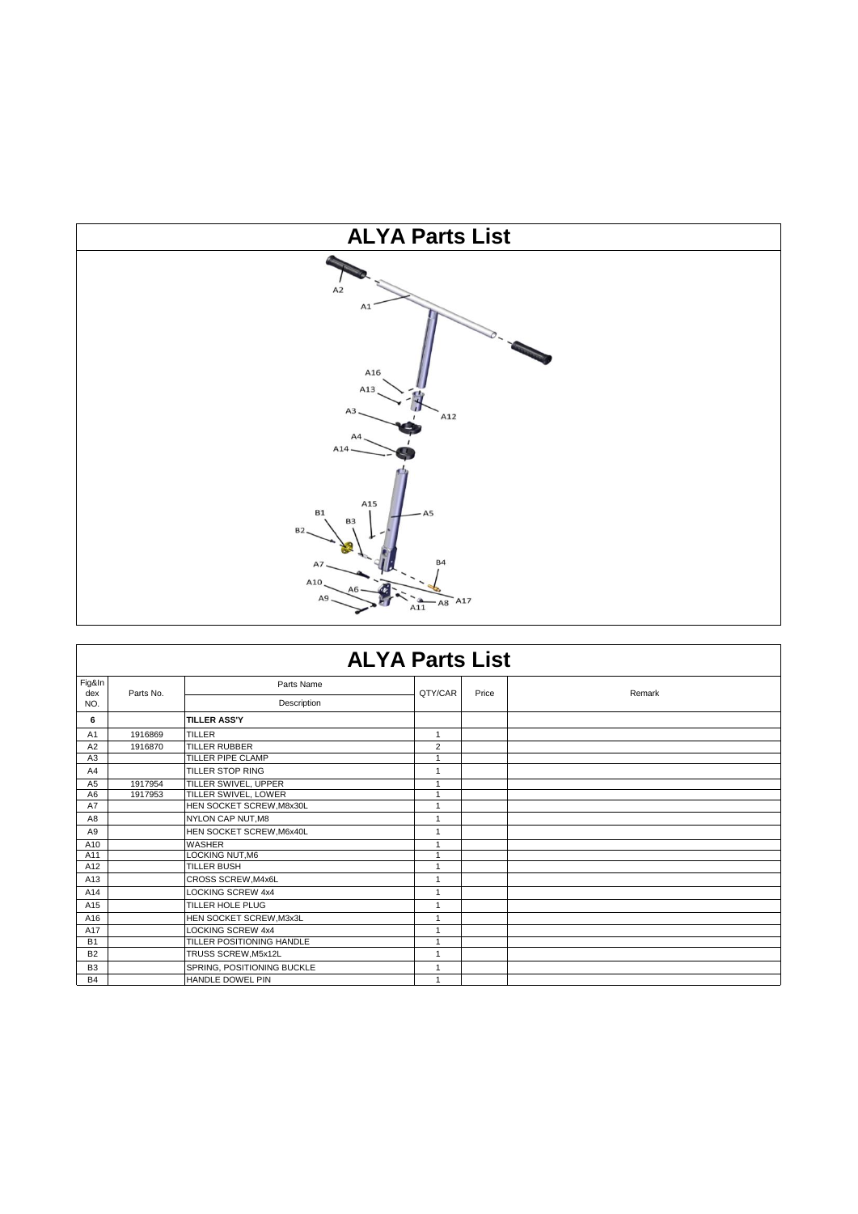

|                | <b>ALYA Parts List</b> |                            |                |       |        |  |  |  |
|----------------|------------------------|----------------------------|----------------|-------|--------|--|--|--|
| Fig&In<br>dex  | Parts No.              | Parts Name                 | QTY/CAR        | Price | Remark |  |  |  |
| NO.            |                        | Description                |                |       |        |  |  |  |
| 6              |                        | <b>TILLER ASS'Y</b>        |                |       |        |  |  |  |
| A1             | 1916869                | TILLER                     | 1              |       |        |  |  |  |
| A2             | 1916870                | <b>TILLER RUBBER</b>       | $\overline{2}$ |       |        |  |  |  |
| A3             |                        | <b>TILLER PIPE CLAMP</b>   | 1              |       |        |  |  |  |
| A4             |                        | <b>TILLER STOP RING</b>    | $\mathbf{1}$   |       |        |  |  |  |
| A <sub>5</sub> | 1917954                | TILLER SWIVEL, UPPER       | 1              |       |        |  |  |  |
| A <sub>6</sub> | 1917953                | TILLER SWIVEL, LOWER       | 1              |       |        |  |  |  |
| A7             |                        | HEN SOCKET SCREW, M8x30L   | 1              |       |        |  |  |  |
| A <sub>8</sub> |                        | NYLON CAP NUT, M8          | 1              |       |        |  |  |  |
| A9             |                        | HEN SOCKET SCREW, M6x40L   | $\mathbf{1}$   |       |        |  |  |  |
| A10            |                        | <b>WASHER</b>              | 1              |       |        |  |  |  |
| A11            |                        | <b>LOCKING NUT.M6</b>      | 1              |       |        |  |  |  |
| A12            |                        | <b>TILLER BUSH</b>         | $\mathbf{1}$   |       |        |  |  |  |
| A13            |                        | CROSS SCREW, M4x6L         | 1              |       |        |  |  |  |
| A14            |                        | <b>LOCKING SCREW 4x4</b>   | 1              |       |        |  |  |  |
| A15            |                        | <b>TILLER HOLE PLUG</b>    | 1              |       |        |  |  |  |
| A16            |                        | HEN SOCKET SCREW, M3x3L    | 1              |       |        |  |  |  |
| A17            |                        | <b>LOCKING SCREW 4x4</b>   | 1              |       |        |  |  |  |
| <b>B1</b>      |                        | TILLER POSITIONING HANDLE  | $\overline{ }$ |       |        |  |  |  |
| B <sub>2</sub> |                        | TRUSS SCREW, M5x12L        | $\mathbf{1}$   |       |        |  |  |  |
| B <sub>3</sub> |                        | SPRING, POSITIONING BUCKLE | 1              |       |        |  |  |  |
| <b>B4</b>      |                        | HANDLE DOWEL PIN           |                |       |        |  |  |  |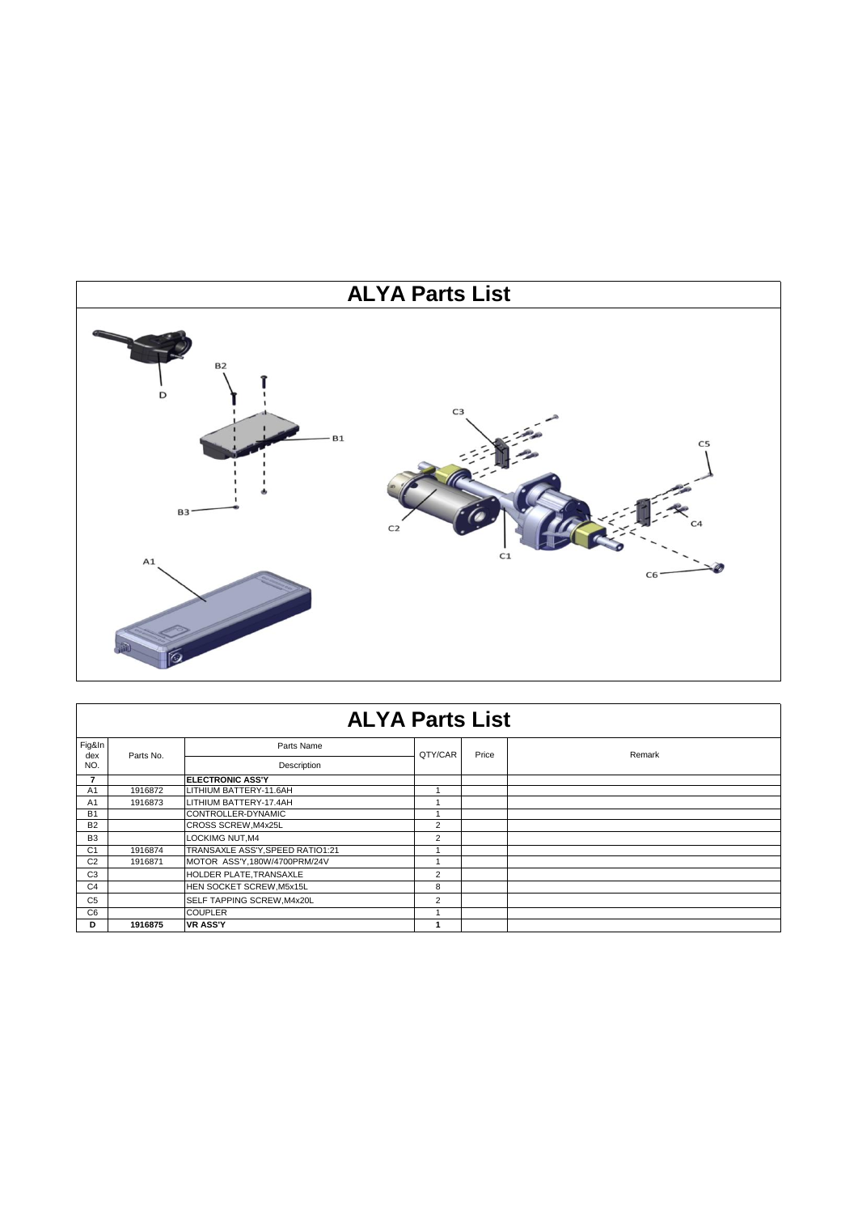

|                | <b>ALYA Parts List</b> |                                  |                |       |        |  |  |  |
|----------------|------------------------|----------------------------------|----------------|-------|--------|--|--|--|
| Fig&In<br>dex  | Parts No.              | Parts Name                       | QTY/CAR        | Price |        |  |  |  |
| NO.            |                        | Description                      |                |       | Remark |  |  |  |
|                |                        | <b>ELECTRONIC ASS'Y</b>          |                |       |        |  |  |  |
| A <sub>1</sub> | 1916872                | LITHIUM BATTERY-11.6AH           |                |       |        |  |  |  |
| A <sub>1</sub> | 1916873                | LITHIUM BATTERY-17.4AH           |                |       |        |  |  |  |
| <b>B1</b>      |                        | CONTROLLER-DYNAMIC               |                |       |        |  |  |  |
| <b>B2</b>      |                        | CROSS SCREW, M4x25L              | $\overline{2}$ |       |        |  |  |  |
| <b>B3</b>      |                        | LOCKIMG NUT, M4                  | 2              |       |        |  |  |  |
| C <sub>1</sub> | 1916874                | TRANSAXLE ASS'Y, SPEED RATIO1:21 |                |       |        |  |  |  |
| C <sub>2</sub> | 1916871                | MOTOR ASS'Y,180W/4700PRM/24V     |                |       |        |  |  |  |
| C <sub>3</sub> |                        | HOLDER PLATE, TRANSAXLE          | 2              |       |        |  |  |  |
| C <sub>4</sub> |                        | HEN SOCKET SCREW, M5x15L         | 8              |       |        |  |  |  |
| C <sub>5</sub> |                        | SELF TAPPING SCREW, M4x20L       | 2              |       |        |  |  |  |
| C <sub>6</sub> |                        | <b>COUPLER</b>                   |                |       |        |  |  |  |
| D              | 1916875                | <b>VR ASS'Y</b>                  |                |       |        |  |  |  |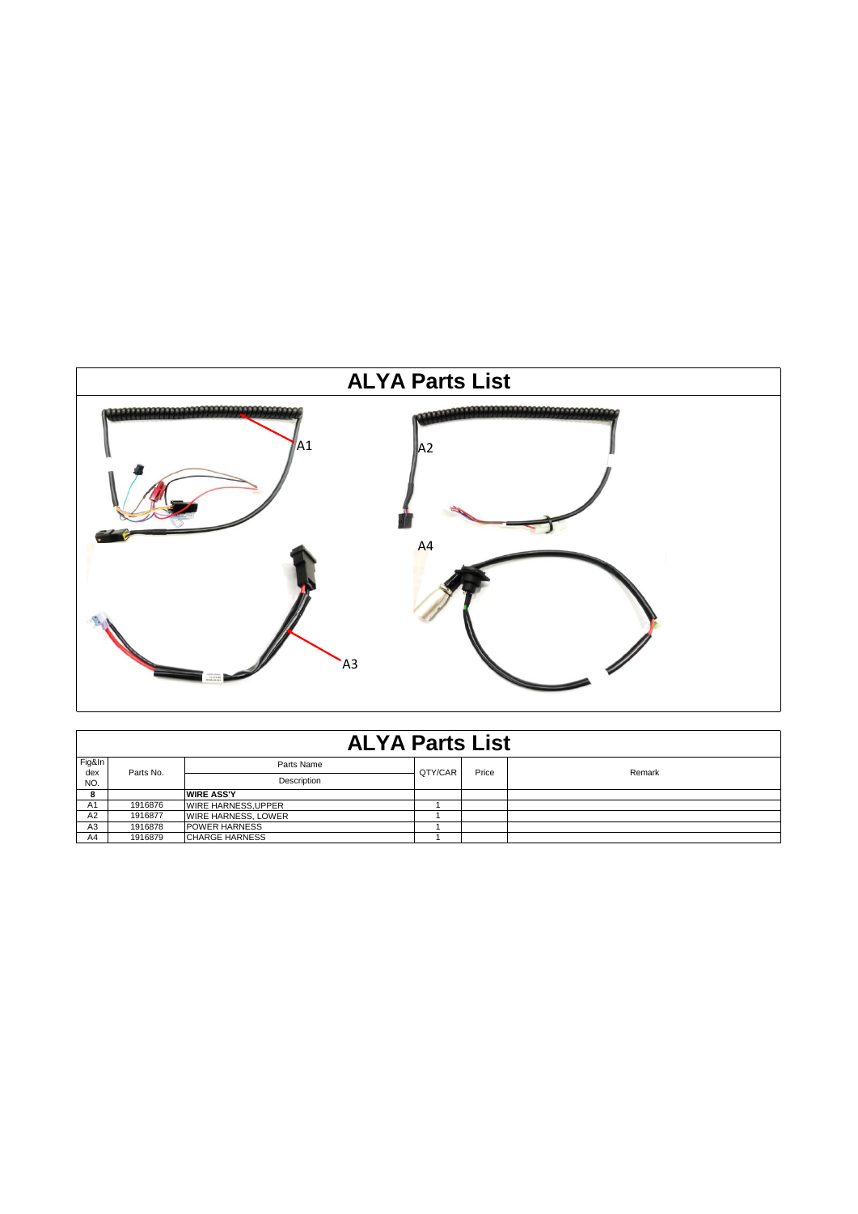

|                | <b>ALYA Parts List</b> |                            |         |       |        |  |  |  |  |
|----------------|------------------------|----------------------------|---------|-------|--------|--|--|--|--|
| Fig&In<br>dex  | Parts No.              | Parts Name                 | QTY/CAR | Price | Remark |  |  |  |  |
| NO.            |                        | Description                |         |       |        |  |  |  |  |
| 8              |                        | <b>WIRE ASS'Y</b>          |         |       |        |  |  |  |  |
| A <sub>1</sub> | 1916876                | <b>WIRE HARNESS, UPPER</b> |         |       |        |  |  |  |  |
| A <sub>2</sub> | 1916877                | <b>WIRE HARNESS, LOWER</b> |         |       |        |  |  |  |  |
| A <sub>3</sub> | 1916878                | <b>POWER HARNESS</b>       |         |       |        |  |  |  |  |
| A4             | 1916879                | <b>CHARGE HARNESS</b>      |         |       |        |  |  |  |  |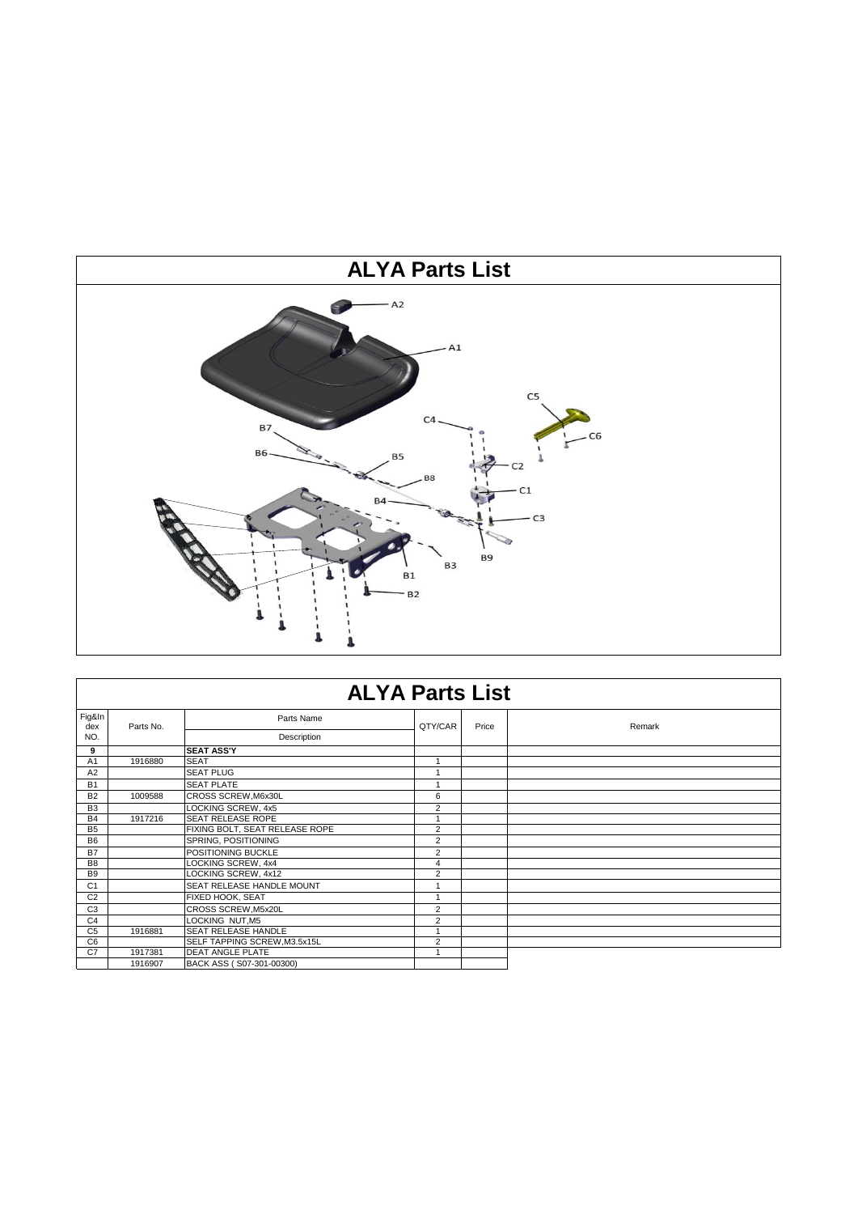

|                | <b>ALYA Parts List</b> |                                |                |       |        |  |  |  |
|----------------|------------------------|--------------------------------|----------------|-------|--------|--|--|--|
| Fig&In<br>dex  | Parts No.              | Parts Name                     | QTY/CAR        | Price | Remark |  |  |  |
| NO.            |                        | Description                    |                |       |        |  |  |  |
| 9              |                        | <b>SEAT ASS'Y</b>              |                |       |        |  |  |  |
| A1             | 1916880                | <b>SEAT</b>                    | 1              |       |        |  |  |  |
| A2             |                        | <b>SEAT PLUG</b>               | 1              |       |        |  |  |  |
| <b>B1</b>      |                        | <b>SEAT PLATE</b>              | 1              |       |        |  |  |  |
| <b>B2</b>      | 1009588                | CROSS SCREW, M6x30L            | 6              |       |        |  |  |  |
| B <sub>3</sub> |                        | LOCKING SCREW, 4x5             | $\overline{2}$ |       |        |  |  |  |
| <b>B4</b>      | 1917216                | <b>SEAT RELEASE ROPE</b>       | $\overline{ }$ |       |        |  |  |  |
| <b>B5</b>      |                        | FIXING BOLT, SEAT RELEASE ROPE | $\overline{2}$ |       |        |  |  |  |
| <b>B6</b>      |                        | SPRING, POSITIONING            | $\overline{2}$ |       |        |  |  |  |
| <b>B7</b>      |                        | POSITIONING BUCKLE             | 2              |       |        |  |  |  |
| B <sub>8</sub> |                        | LOCKING SCREW, 4x4             | 4              |       |        |  |  |  |
| <b>B9</b>      |                        | LOCKING SCREW, 4x12            | $\overline{2}$ |       |        |  |  |  |
| C <sub>1</sub> |                        | SEAT RELEASE HANDLE MOUNT      | 1              |       |        |  |  |  |
| C <sub>2</sub> |                        | FIXED HOOK, SEAT               | 1              |       |        |  |  |  |
| C <sub>3</sub> |                        | CROSS SCREW, M5x20L            | 2              |       |        |  |  |  |
| C <sub>4</sub> |                        | LOCKING NUT, M5                | $\overline{2}$ |       |        |  |  |  |
| C <sub>5</sub> | 1916881                | SEAT RELEASE HANDLE            |                |       |        |  |  |  |
| C <sub>6</sub> |                        | SELF TAPPING SCREW, M3.5x15L   | $\overline{2}$ |       |        |  |  |  |
| C7             | 1917381                | <b>DEAT ANGLE PLATE</b>        | 1              |       |        |  |  |  |
|                | 1916907                | BACK ASS (S07-301-00300)       |                |       |        |  |  |  |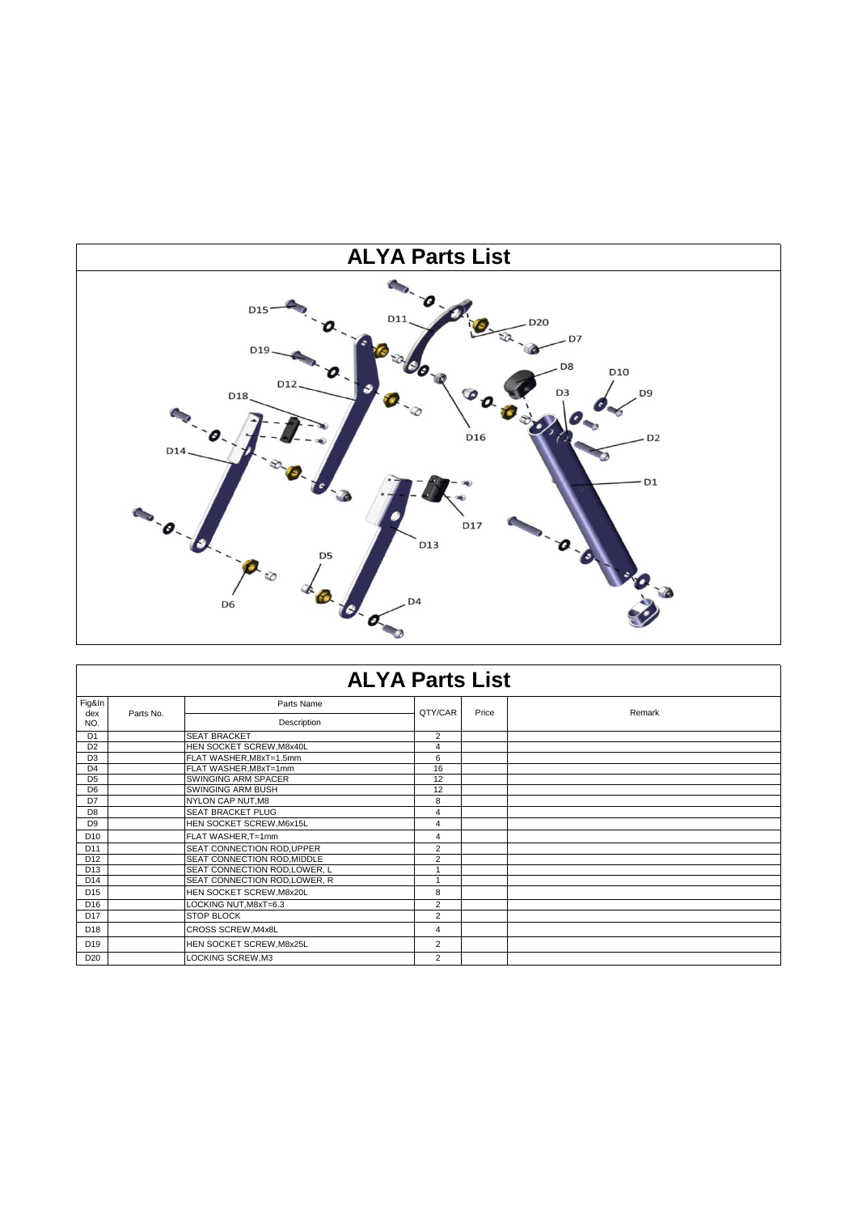

|                 | <b>ALYA Parts List</b> |                               |                         |       |        |  |  |  |
|-----------------|------------------------|-------------------------------|-------------------------|-------|--------|--|--|--|
| Fig&In<br>dex   | Parts No.              | Parts Name                    | QTY/CAR                 | Price | Remark |  |  |  |
| NO.             |                        | Description                   |                         |       |        |  |  |  |
| D <sub>1</sub>  |                        | <b>SEAT BRACKET</b>           | $\overline{2}$          |       |        |  |  |  |
| D <sub>2</sub>  |                        | HEN SOCKET SCREW, M8x40L      | $\overline{4}$          |       |        |  |  |  |
| D <sub>3</sub>  |                        | FLAT WASHER, M8xT=1.5mm       | 6                       |       |        |  |  |  |
| D <sub>4</sub>  |                        | FLAT WASHER, M8xT=1mm         | 16                      |       |        |  |  |  |
| D <sub>5</sub>  |                        | SWINGING ARM SPACER           | 12                      |       |        |  |  |  |
| D <sub>6</sub>  |                        | SWINGING ARM BUSH             | 12                      |       |        |  |  |  |
| D7              |                        | NYLON CAP NUT, M8             | 8                       |       |        |  |  |  |
| D <sub>8</sub>  |                        | <b>SEAT BRACKET PLUG</b>      | 4                       |       |        |  |  |  |
| D <sub>9</sub>  |                        | HEN SOCKET SCREW, M6x15L      | 4                       |       |        |  |  |  |
| D <sub>10</sub> |                        | FLAT WASHER, T=1mm            | 4                       |       |        |  |  |  |
| D <sub>11</sub> |                        | SEAT CONNECTION ROD, UPPER    | $\overline{2}$          |       |        |  |  |  |
| D <sub>12</sub> |                        | SEAT CONNECTION ROD, MIDDLE   | $\overline{2}$          |       |        |  |  |  |
| D <sub>13</sub> |                        | SEAT CONNECTION ROD, LOWER, L | $\overline{ }$          |       |        |  |  |  |
| D <sub>14</sub> |                        | SEAT CONNECTION ROD, LOWER, R | $\overline{\mathbf{A}}$ |       |        |  |  |  |
| D <sub>15</sub> |                        | HEN SOCKET SCREW, M8x20L      | 8                       |       |        |  |  |  |
| D <sub>16</sub> |                        | LOCKING NUT, M8xT=6.3         | $\overline{2}$          |       |        |  |  |  |
| D <sub>17</sub> |                        | <b>STOP BLOCK</b>             | $\overline{2}$          |       |        |  |  |  |
| D <sub>18</sub> |                        | CROSS SCREW, M4x8L            | 4                       |       |        |  |  |  |
| D <sub>19</sub> |                        | HEN SOCKET SCREW, M8x25L      | $\overline{2}$          |       |        |  |  |  |
| D <sub>20</sub> |                        | LOCKING SCREW, M3             | 2                       |       |        |  |  |  |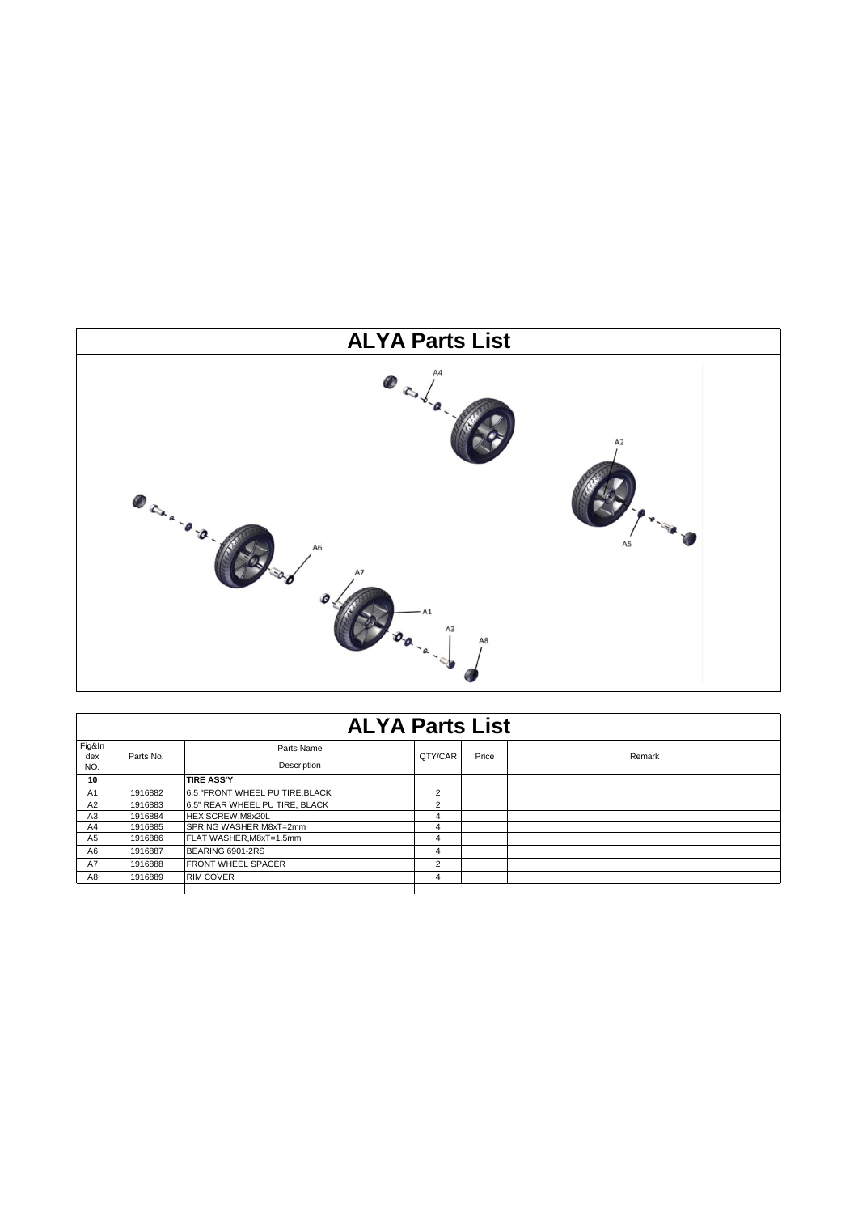

| <b>ALYA Parts List</b>         |         |       |        |
|--------------------------------|---------|-------|--------|
| Parts Name                     | QTY/CAR | Price | Remark |
| Description                    |         |       |        |
| <b>TIRE ASS'Y</b>              |         |       |        |
| 6.5 "FRONT WHEEL PU TIRE BLACK |         |       |        |
| 6.5" REAR WHEEL PU TIRE, BLACK |         |       |        |
|                                |         |       |        |

Fig&In dex NO.

Parts No.

| 10             |         | <b>TIRE ASS'Y</b>              |   |  |
|----------------|---------|--------------------------------|---|--|
| A <sub>1</sub> | 1916882 | 6.5 "FRONT WHEEL PU TIRE BLACK |   |  |
| A2             | 1916883 | 6.5" REAR WHEEL PU TIRE, BLACK |   |  |
| A <sub>3</sub> | 1916884 | <b>HEX SCREW.M8x20L</b>        |   |  |
| A4             | 1916885 | SPRING WASHER.M8xT=2mm         |   |  |
| A <sub>5</sub> | 1916886 | FLAT WASHER.M8xT=1.5mm         |   |  |
| A <sub>6</sub> | 1916887 | BEARING 6901-2RS               | 4 |  |
| A7             | 1916888 | <b>FRONT WHEEL SPACER</b>      |   |  |
| A <sub>8</sub> | 1916889 | <b>RIM COVER</b>               |   |  |

 $\overline{\phantom{a}}$